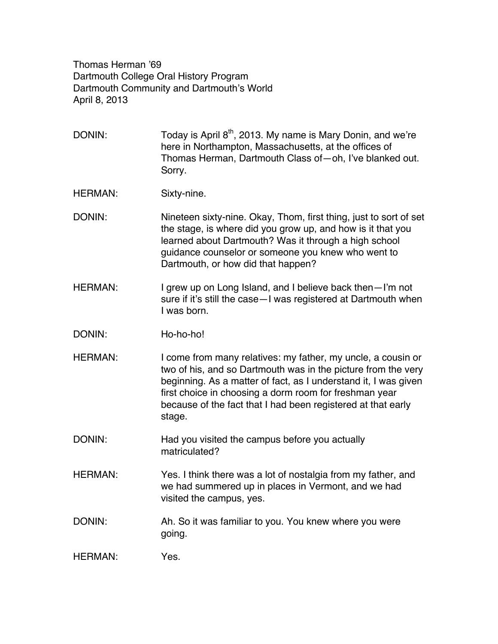Thomas Herman '69 Dartmouth College Oral History Program Dartmouth Community and Dartmouth's World April 8, 2013

DONIN: Today is April  $8<sup>th</sup>$ , 2013. My name is Mary Donin, and we're here in Northampton, Massachusetts, at the offices of Thomas Herman, Dartmouth Class of—oh, I've blanked out. Sorry.

HERMAN: Sixty-nine.

DONIN: Nineteen sixty-nine. Okay, Thom, first thing, just to sort of set the stage, is where did you grow up, and how is it that you learned about Dartmouth? Was it through a high school guidance counselor or someone you knew who went to Dartmouth, or how did that happen?

- HERMAN: I grew up on Long Island, and I believe back then—I'm not sure if it's still the case—I was registered at Dartmouth when I was born.
- DONIN: Ho-ho-ho!
- HERMAN: I come from many relatives: my father, my uncle, a cousin or two of his, and so Dartmouth was in the picture from the very beginning. As a matter of fact, as I understand it, I was given first choice in choosing a dorm room for freshman year because of the fact that I had been registered at that early stage.
- DONIN: Had you visited the campus before you actually matriculated?
- HERMAN: Yes. I think there was a lot of nostalgia from my father, and we had summered up in places in Vermont, and we had visited the campus, yes.
- DONIN: Ah. So it was familiar to you. You knew where you were going.

HERMAN: Yes.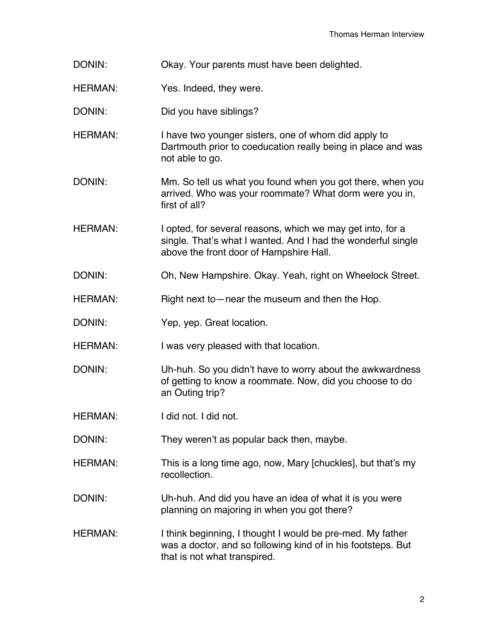- DONIN: Okay. Your parents must have been delighted.
- HERMAN: Yes. Indeed, they were.
- DONIN: Did you have siblings?
- HERMAN: I have two younger sisters, one of whom did apply to Dartmouth prior to coeducation really being in place and was not able to go.
- DONIN: Mm. So tell us what you found when you got there, when you arrived. Who was your roommate? What dorm were you in, first of all?
- HERMAN: I opted, for several reasons, which we may get into, for a single. That's what I wanted. And I had the wonderful single above the front door of Hampshire Hall.
- DONIN: Oh, New Hampshire. Okay. Yeah, right on Wheelock Street.
- HERMAN: Right next to—near the museum and then the Hop.
- DONIN: Yep, yep. Great location.
- HERMAN: I was very pleased with that location.
- DONIN: Uh-huh. So you didn't have to worry about the awkwardness of getting to know a roommate. Now, did you choose to do an Outing trip?
- HERMAN: I did not. I did not.
- DONIN: They weren't as popular back then, maybe.
- HERMAN: This is a long time ago, now, Mary [chuckles], but that's my recollection.
- DONIN: Uh-huh. And did you have an idea of what it is you were planning on majoring in when you got there?
- HERMAN: I think beginning, I thought I would be pre-med. My father was a doctor, and so following kind of in his footsteps. But that is not what transpired.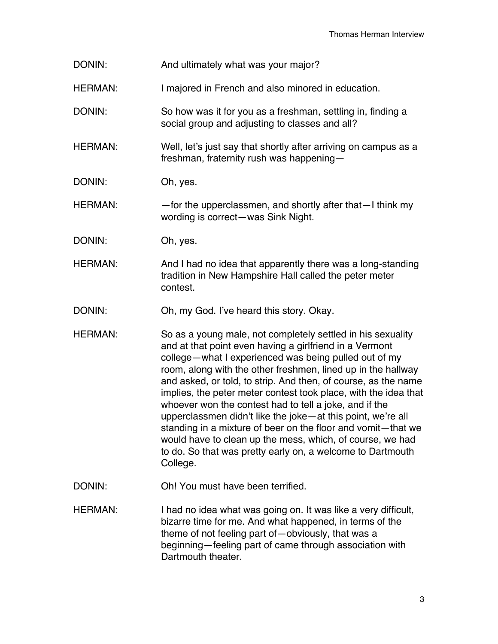- DONIN: And ultimately what was your major?
- HERMAN: I majored in French and also minored in education.
- DONIN: So how was it for you as a freshman, settling in, finding a social group and adjusting to classes and all?
- HERMAN: Well, let's just say that shortly after arriving on campus as a freshman, fraternity rush was happening—
- DONIN: Oh, yes.
- HERMAN: — for the upperclassmen, and shortly after that —I think my wording is correct—was Sink Night.
- DONIN: Oh, yes.
- HERMAN: And I had no idea that apparently there was a long-standing tradition in New Hampshire Hall called the peter meter contest.
- DONIN: Oh, my God. I've heard this story. Okay.
- HERMAN: So as a young male, not completely settled in his sexuality and at that point even having a girlfriend in a Vermont college—what I experienced was being pulled out of my room, along with the other freshmen, lined up in the hallway and asked, or told, to strip. And then, of course, as the name implies, the peter meter contest took place, with the idea that whoever won the contest had to tell a joke, and if the upperclassmen didn't like the joke—at this point, we're all standing in a mixture of beer on the floor and vomit—that we would have to clean up the mess, which, of course, we had to do. So that was pretty early on, a welcome to Dartmouth College.
- DONIN: Oh! You must have been terrified.
- HERMAN: I had no idea what was going on. It was like a very difficult, bizarre time for me. And what happened, in terms of the theme of not feeling part of—obviously, that was a beginning—feeling part of came through association with Dartmouth theater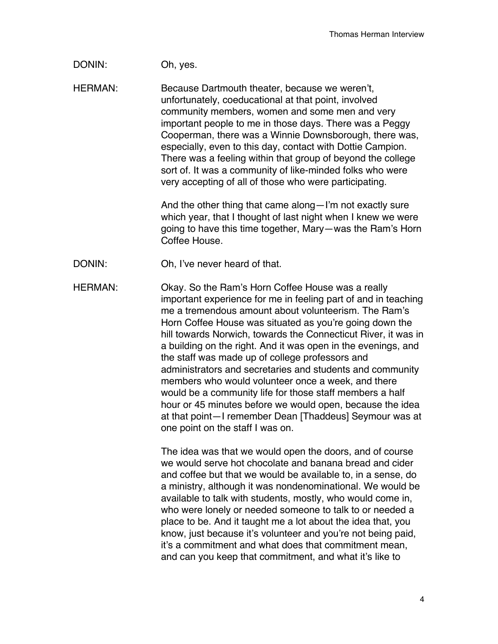## DONIN: Oh, yes.

HERMAN: Because Dartmouth theater, because we weren't, unfortunately, coeducational at that point, involved community members, women and some men and very important people to me in those days. There was a Peggy Cooperman, there was a Winnie Downsborough, there was, especially, even to this day, contact with Dottie Campion. There was a feeling within that group of beyond the college sort of. It was a community of like-minded folks who were very accepting of all of those who were participating.

> And the other thing that came along—I'm not exactly sure which year, that I thought of last night when I knew we were going to have this time together, Mary—was the Ram's Horn Coffee House.

DONIN: Oh, I've never heard of that.

HERMAN: Okay. So the Ram's Horn Coffee House was a really important experience for me in feeling part of and in teaching me a tremendous amount about volunteerism. The Ram's Horn Coffee House was situated as you're going down the hill towards Norwich, towards the Connecticut River, it was in a building on the right. And it was open in the evenings, and the staff was made up of college professors and administrators and secretaries and students and community members who would volunteer once a week, and there would be a community life for those staff members a half hour or 45 minutes before we would open, because the idea at that point—I remember Dean [Thaddeus] Seymour was at one point on the staff I was on.

> The idea was that we would open the doors, and of course we would serve hot chocolate and banana bread and cider and coffee but that we would be available to, in a sense, do a ministry, although it was nondenominational. We would be available to talk with students, mostly, who would come in, who were lonely or needed someone to talk to or needed a place to be. And it taught me a lot about the idea that, you know, just because it's volunteer and you're not being paid, it's a commitment and what does that commitment mean, and can you keep that commitment, and what it's like to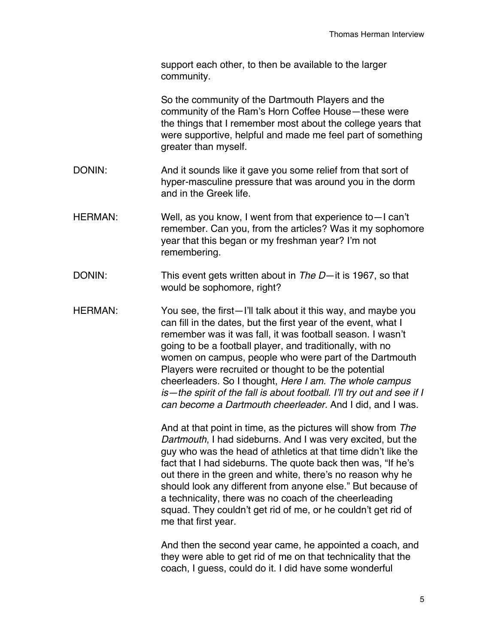support each other, to then be available to the larger community.

So the community of the Dartmouth Players and the community of the Ram's Horn Coffee House—these were the things that I remember most about the college years that were supportive, helpful and made me feel part of something greater than myself.

- DONIN: And it sounds like it gave you some relief from that sort of hyper-masculine pressure that was around you in the dorm and in the Greek life.
- HERMAN: Well, as you know, I went from that experience to—I can't remember. Can you, from the articles? Was it my sophomore year that this began or my freshman year? I'm not remembering.
- DONIN: This event gets written about in *The D*—it is 1967, so that would be sophomore, right?
- HERMAN: You see, the first—I'll talk about it this way, and maybe you can fill in the dates, but the first year of the event, what I remember was it was fall, it was football season. I wasn't going to be a football player, and traditionally, with no women on campus, people who were part of the Dartmouth Players were recruited or thought to be the potential cheerleaders. So I thought, *Here I am. The whole campus is—the spirit of the fall is about football. I*'*ll try out and see if I can become a Dartmouth cheerleader.* And I did, and I was.

And at that point in time, as the pictures will show from *The Dartmouth*, I had sideburns. And I was very excited, but the guy who was the head of athletics at that time didn't like the fact that I had sideburns. The quote back then was, "If he's out there in the green and white, there's no reason why he should look any different from anyone else." But because of a technicality, there was no coach of the cheerleading squad. They couldn't get rid of me, or he couldn't get rid of me that first year.

And then the second year came, he appointed a coach, and they were able to get rid of me on that technicality that the coach, I guess, could do it. I did have some wonderful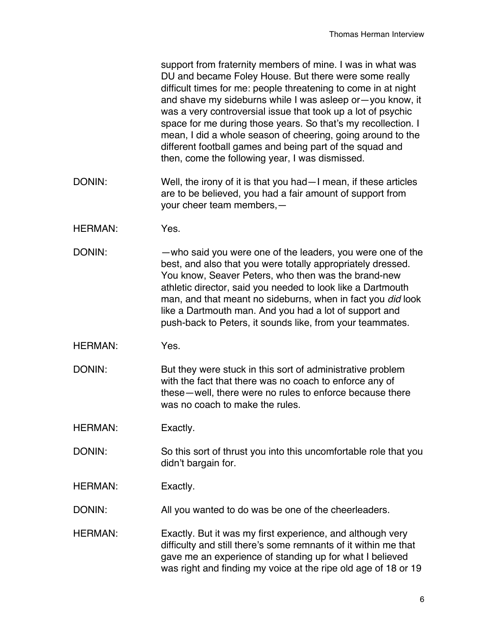support from fraternity members of mine. I was in what was DU and became Foley House. But there were some really difficult times for me: people threatening to come in at night and shave my sideburns while I was asleep or—you know, it was a very controversial issue that took up a lot of psychic space for me during those years. So that's my recollection. I mean, I did a whole season of cheering, going around to the different football games and being part of the squad and then, come the following year, I was dismissed.

- DONIN: Well, the irony of it is that you had—I mean, if these articles are to be believed, you had a fair amount of support from your cheer team members,—
- HERMAN: Yes.
- DONIN: —who said you were one of the leaders, you were one of the best, and also that you were totally appropriately dressed. You know, Seaver Peters, who then was the brand-new athletic director, said you needed to look like a Dartmouth man, and that meant no sideburns, when in fact you *did* look like a Dartmouth man. And you had a lot of support and push-back to Peters, it sounds like, from your teammates.
- HERMAN: Yes.
- DONIN: But they were stuck in this sort of administrative problem with the fact that there was no coach to enforce any of these—well, there were no rules to enforce because there was no coach to make the rules.
- HERMAN: Exactly.
- DONIN: So this sort of thrust you into this uncomfortable role that you didn't bargain for.
- HERMAN: Exactly.
- DONIN: All you wanted to do was be one of the cheerleaders.
- HERMAN: Exactly. But it was my first experience, and although very difficulty and still there's some remnants of it within me that gave me an experience of standing up for what I believed was right and finding my voice at the ripe old age of 18 or 19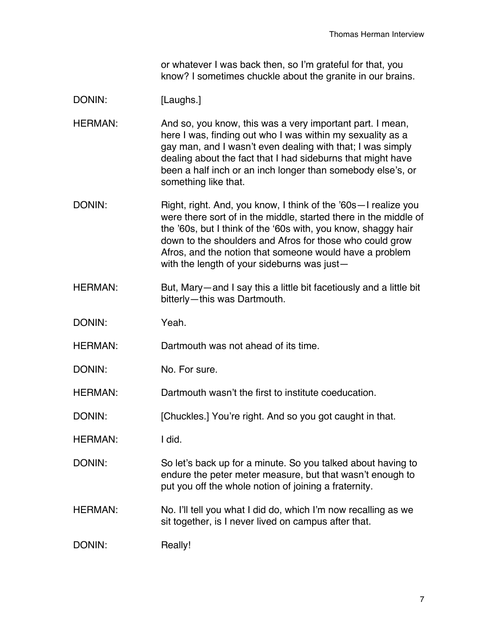or whatever I was back then, so I'm grateful for that, you know? I sometimes chuckle about the granite in our brains.

## DONIN: [Laughs.]

HERMAN: And so, you know, this was a very important part. I mean, here I was, finding out who I was within my sexuality as a gay man, and I wasn't even dealing with that; I was simply dealing about the fact that I had sideburns that might have been a half inch or an inch longer than somebody else's, or something like that.

- DONIN: Right, right. And, you know, I think of the '60s—I realize you were there sort of in the middle, started there in the middle of the '60s, but I think of the ʻ60s with, you know, shaggy hair down to the shoulders and Afros for those who could grow Afros, and the notion that someone would have a problem with the length of your sideburns was just—
- HERMAN: But, Mary—and I say this a little bit facetiously and a little bit bitterly—this was Dartmouth.
- DONIN: Yeah.
- HERMAN: Dartmouth was not ahead of its time.
- DONIN: No. For sure.

HERMAN: Dartmouth wasn't the first to institute coeducation.

- DONIN: [Chuckles.] You're right. And so you got caught in that.
- HERMAN: I did.

DONIN: So let's back up for a minute. So you talked about having to endure the peter meter measure, but that wasn't enough to put you off the whole notion of joining a fraternity.

HERMAN: No. I'll tell you what I did do, which I'm now recalling as we sit together, is I never lived on campus after that.

DONIN: Really!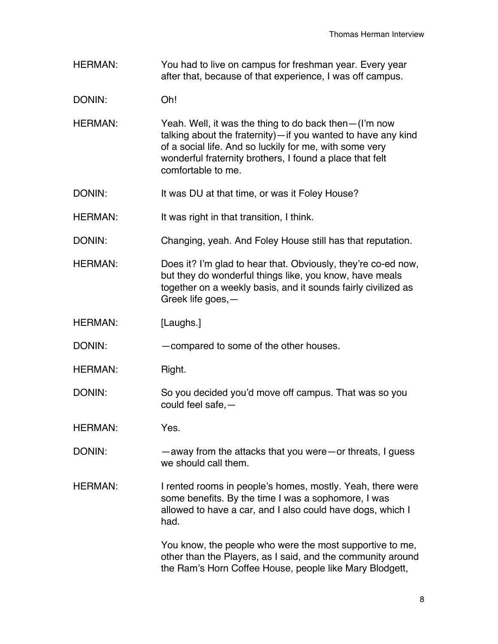- HERMAN: You had to live on campus for freshman year. Every year after that, because of that experience, I was off campus.
- DONIN: Oh!
- HERMAN: Yeah. Well, it was the thing to do back then—(I'm now talking about the fraternity)—if you wanted to have any kind of a social life. And so luckily for me, with some very wonderful fraternity brothers, I found a place that felt comfortable to me.
- DONIN: It was DU at that time, or was it Foley House?
- HERMAN: It was right in that transition, I think.
- DONIN: Changing, yeah. And Foley House still has that reputation.
- HERMAN: Does it? I'm glad to hear that. Obviously, they're co-ed now, but they do wonderful things like, you know, have meals together on a weekly basis, and it sounds fairly civilized as Greek life goes,—
- HERMAN: [Laughs.]

DONIN: —compared to some of the other houses.

- HERMAN: Right.
- DONIN: So you decided you'd move off campus. That was so you could feel safe,—

HERMAN: Yes.

- DONIN: —away from the attacks that you were—or threats, I guess we should call them.
- HERMAN: I rented rooms in people's homes, mostly. Yeah, there were some benefits. By the time I was a sophomore, I was allowed to have a car, and I also could have dogs, which I had.

You know, the people who were the most supportive to me, other than the Players, as I said, and the community around the Ram's Horn Coffee House, people like Mary Blodgett,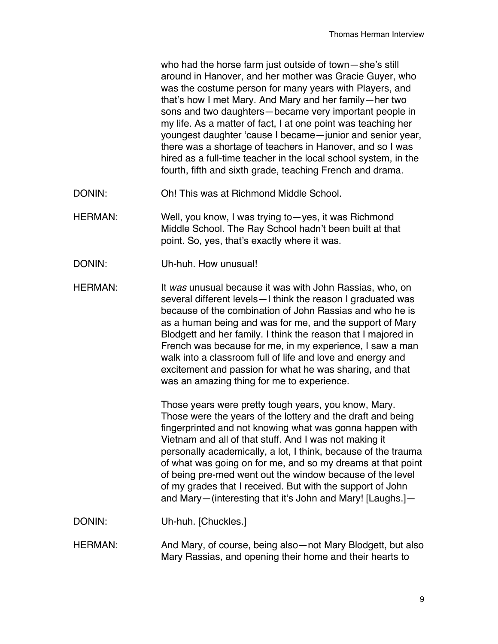who had the horse farm just outside of town—she's still around in Hanover, and her mother was Gracie Guyer, who was the costume person for many years with Players, and that's how I met Mary. And Mary and her family—her two sons and two daughters—became very important people in my life. As a matter of fact, I at one point was teaching her youngest daughter ʻcause I became—junior and senior year, there was a shortage of teachers in Hanover, and so I was hired as a full-time teacher in the local school system, in the fourth, fifth and sixth grade, teaching French and drama.

- DONIN: Oh! This was at Richmond Middle School.
- HERMAN: Well, you know, I was trying to yes, it was Richmond Middle School. The Ray School hadn't been built at that point. So, yes, that's exactly where it was.
- DONIN: Uh-huh. How unusual!
- HERMAN: It *was* unusual because it was with John Rassias, who, on several different levels—I think the reason I graduated was because of the combination of John Rassias and who he is as a human being and was for me, and the support of Mary Blodgett and her family. I think the reason that I majored in French was because for me, in my experience, I saw a man walk into a classroom full of life and love and energy and excitement and passion for what he was sharing, and that was an amazing thing for me to experience.

Those years were pretty tough years, you know, Mary. Those were the years of the lottery and the draft and being fingerprinted and not knowing what was gonna happen with Vietnam and all of that stuff. And I was not making it personally academically, a lot, I think, because of the trauma of what was going on for me, and so my dreams at that point of being pre-med went out the window because of the level of my grades that I received. But with the support of John and Mary—(interesting that it's John and Mary! [Laughs.]—

- DONIN: Uh-huh. [Chuckles.]
- HERMAN: And Mary, of course, being also—not Mary Blodgett, but also Mary Rassias, and opening their home and their hearts to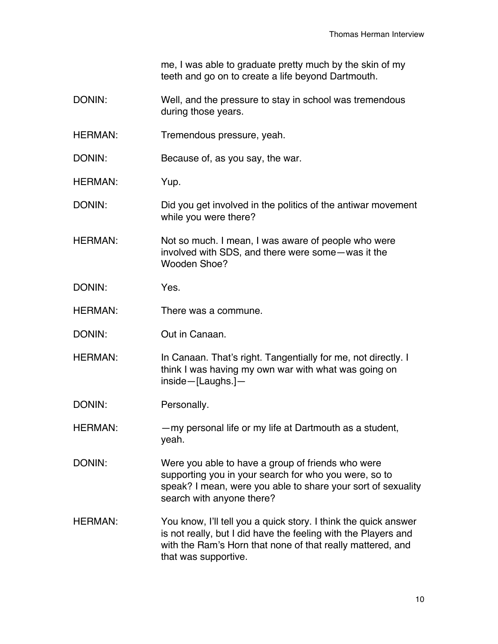me, I was able to graduate pretty much by the skin of my teeth and go on to create a life beyond Dartmouth.

- DONIN: Well, and the pressure to stay in school was tremendous during those years.
- HERMAN: Tremendous pressure, yeah.
- DONIN: Because of, as you say, the war.
- HERMAN: Yup.
- DONIN: DONIN: Did you get involved in the politics of the antiwar movement while you were there?
- HERMAN: Not so much. I mean, I was aware of people who were involved with SDS, and there were some—was it the Wooden Shoe?
- DONIN: Yes.
- HERMAN: There was a commune.
- DONIN: Out in Canaan.
- HERMAN: In Canaan. That's right. Tangentially for me, not directly. I think I was having my own war with what was going on inside—[Laughs.]—
- DONIN: Personally.
- HERMAN: — my personal life or my life at Dartmouth as a student, yeah.
- DONIN: Were you able to have a group of friends who were supporting you in your search for who you were, so to speak? I mean, were you able to share your sort of sexuality search with anyone there?
- HERMAN: You know, I'll tell you a quick story. I think the quick answer is not really, but I did have the feeling with the Players and with the Ram's Horn that none of that really mattered, and that was supportive.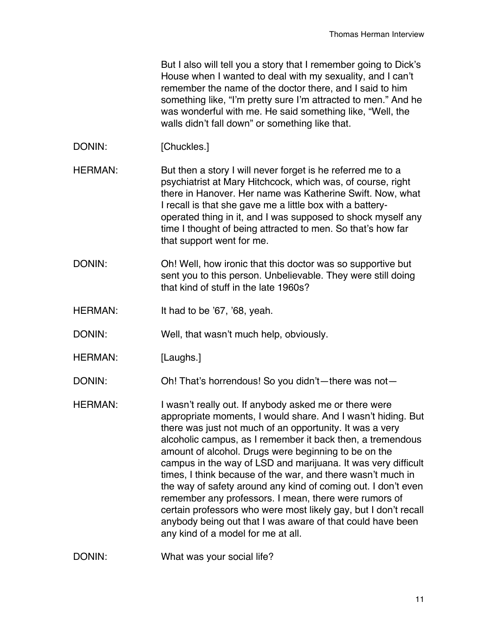But I also will tell you a story that I remember going to Dick's House when I wanted to deal with my sexuality, and I can't remember the name of the doctor there, and I said to him something like, "I'm pretty sure I'm attracted to men." And he was wonderful with me. He said something like, "Well, the walls didn't fall down" or something like that.

DONIN: [Chuckles.]

HERMAN: But then a story I will never forget is he referred me to a psychiatrist at Mary Hitchcock, which was, of course, right there in Hanover. Her name was Katherine Swift. Now, what I recall is that she gave me a little box with a batteryoperated thing in it, and I was supposed to shock myself any time I thought of being attracted to men. So that's how far that support went for me.

- DONIN: Oh! Well, how ironic that this doctor was so supportive but sent you to this person. Unbelievable. They were still doing that kind of stuff in the late 1960s?
- HERMAN: It had to be '67, '68, yeah.

DONIN: Well, that wasn't much help, obviously.

HERMAN: [Laughs.]

DONIN: Oh! That's horrendous! So you didn't—there was not-

HERMAN: I wasn't really out. If anybody asked me or there were appropriate moments, I would share. And I wasn't hiding. But there was just not much of an opportunity. It was a very alcoholic campus, as I remember it back then, a tremendous amount of alcohol. Drugs were beginning to be on the campus in the way of LSD and marijuana. It was very difficult times, I think because of the war, and there wasn't much in the way of safety around any kind of coming out. I don't even remember any professors. I mean, there were rumors of certain professors who were most likely gay, but I don't recall anybody being out that I was aware of that could have been any kind of a model for me at all.

DONIN: What was your social life?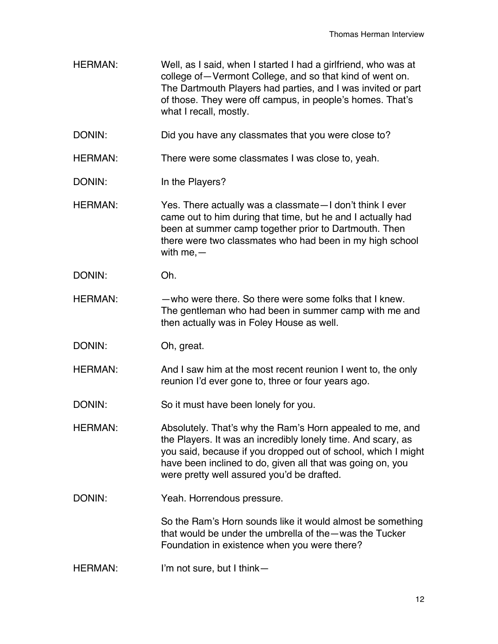HERMAN: Well, as I said, when I started I had a girlfriend, who was at college of—Vermont College, and so that kind of went on. The Dartmouth Players had parties, and I was invited or part of those. They were off campus, in people's homes. That's what I recall, mostly.

DONIN: Did you have any classmates that you were close to?

HERMAN: There were some classmates I was close to, yeah.

DONIN: In the Players?

HERMAN: Yes. There actually was a classmate—I don't think I ever came out to him during that time, but he and I actually had been at summer camp together prior to Dartmouth. Then there were two classmates who had been in my high school with me,—

DONIN: Oh.

HERMAN: —who were there. So there were some folks that I knew. The gentleman who had been in summer camp with me and then actually was in Foley House as well.

DONIN: Oh, great.

HERMAN: And I saw him at the most recent reunion I went to, the only reunion I'd ever gone to, three or four years ago.

DONIN: So it must have been lonely for you.

HERMAN: Absolutely. That's why the Ram's Horn appealed to me, and the Players. It was an incredibly lonely time. And scary, as you said, because if you dropped out of school, which I might have been inclined to do, given all that was going on, you were pretty well assured you'd be drafted.

DONIN: Yeah. Horrendous pressure.

So the Ram's Horn sounds like it would almost be something that would be under the umbrella of the—was the Tucker Foundation in existence when you were there?

HERMAN: I'm not sure, but I think—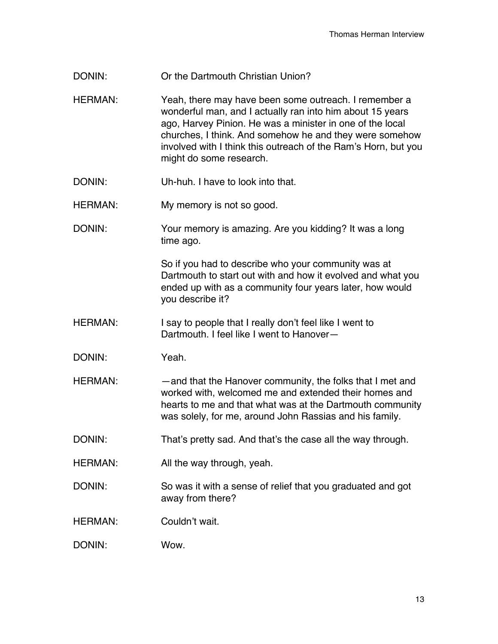- DONIN: Or the Dartmouth Christian Union?
- HERMAN: Yeah, there may have been some outreach. I remember a wonderful man, and I actually ran into him about 15 years ago, Harvey Pinion. He was a minister in one of the local churches, I think. And somehow he and they were somehow involved with I think this outreach of the Ram's Horn, but you might do some research.
- DONIN: Uh-huh. I have to look into that.
- HERMAN: My memory is not so good.
- DONIN: Your memory is amazing. Are you kidding? It was a long time ago.

So if you had to describe who your community was at Dartmouth to start out with and how it evolved and what you ended up with as a community four years later, how would you describe it?

- HERMAN: I say to people that I really don't feel like I went to Dartmouth. I feel like I went to Hanover—
- DONIN: Yeah.
- HERMAN: —and that the Hanover community, the folks that I met and worked with, welcomed me and extended their homes and hearts to me and that what was at the Dartmouth community was solely, for me, around John Rassias and his family.
- DONIN: That's pretty sad. And that's the case all the way through.
- HERMAN: All the way through, yeah.
- DONIN: So was it with a sense of relief that you graduated and got away from there?
- HERMAN: Couldn't wait.

DONIN: Wow.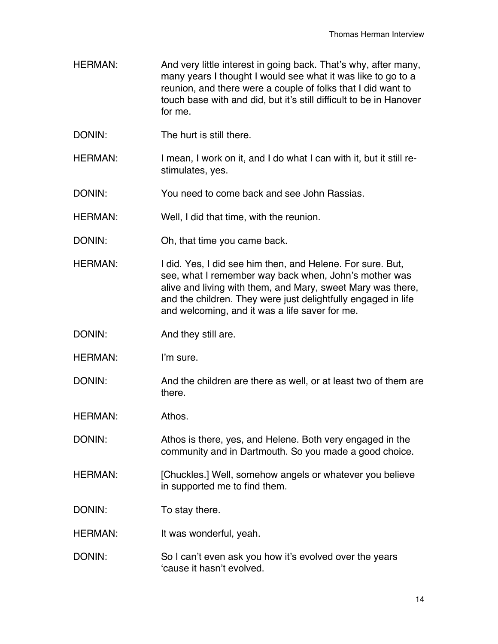- HERMAN: And very little interest in going back. That's why, after many, many years I thought I would see what it was like to go to a reunion, and there were a couple of folks that I did want to touch base with and did, but it's still difficult to be in Hanover for me.
- DONIN: The hurt is still there.
- HERMAN: I mean, I work on it, and I do what I can with it, but it still restimulates, yes.
- DONIN: You need to come back and see John Rassias.
- HERMAN: Well, I did that time, with the reunion.
- DONIN: Oh, that time you came back.
- HERMAN: I did. Yes, I did see him then, and Helene. For sure. But, see, what I remember way back when, John's mother was alive and living with them, and Mary, sweet Mary was there, and the children. They were just delightfully engaged in life and welcoming, and it was a life saver for me.
- DONIN: And they still are.
- HERMAN: I'm sure.
- DONIN: And the children are there as well, or at least two of them are there.
- HERMAN: Athos.
- DONIN: Athos is there, yes, and Helene. Both very engaged in the community and in Dartmouth. So you made a good choice.
- HERMAN: [Chuckles.] Well, somehow angels or whatever you believe in supported me to find them.
- DONIN: To stay there.
- HERMAN: It was wonderful, yeah.
- DONIN: So I can't even ask you how it's evolved over the years ʻcause it hasn't evolved.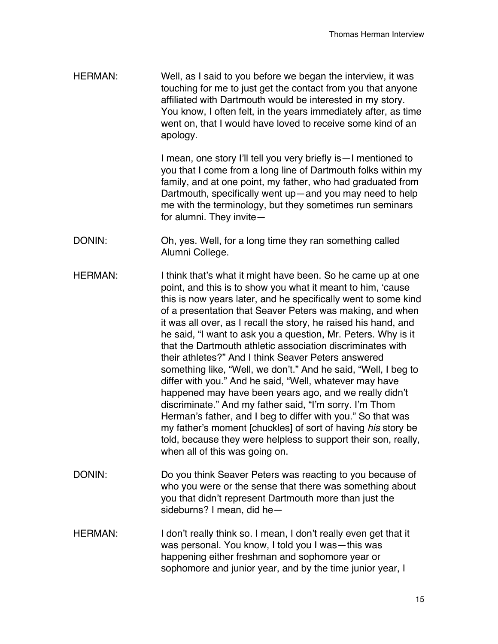HERMAN: Well, as I said to you before we began the interview, it was touching for me to just get the contact from you that anyone affiliated with Dartmouth would be interested in my story. You know, I often felt, in the years immediately after, as time went on, that I would have loved to receive some kind of an apology.

> I mean, one story I'll tell you very briefly is—I mentioned to you that I come from a long line of Dartmouth folks within my family, and at one point, my father, who had graduated from Dartmouth, specifically went up—and you may need to help me with the terminology, but they sometimes run seminars for alumni. They invite—

- DONIN: Oh, yes. Well, for a long time they ran something called Alumni College.
- HERMAN: I think that's what it might have been. So he came up at one point, and this is to show you what it meant to him, ʻcause this is now years later, and he specifically went to some kind of a presentation that Seaver Peters was making, and when it was all over, as I recall the story, he raised his hand, and he said, "I want to ask you a question, Mr. Peters. Why is it that the Dartmouth athletic association discriminates with their athletes?" And I think Seaver Peters answered something like, "Well, we don't." And he said, "Well, I beg to differ with you." And he said, "Well, whatever may have happened may have been years ago, and we really didn't discriminate." And my father said, "I'm sorry. I'm Thom Herman's father, and I beg to differ with you." So that was my father's moment [chuckles] of sort of having *his* story be told, because they were helpless to support their son, really, when all of this was going on.
- DONIN: Do you think Seaver Peters was reacting to you because of who you were or the sense that there was something about you that didn't represent Dartmouth more than just the sideburns? I mean, did he—
- HERMAN: I don't really think so. I mean, I don't really even get that it was personal. You know, I told you I was—this was happening either freshman and sophomore year or sophomore and junior year, and by the time junior year, I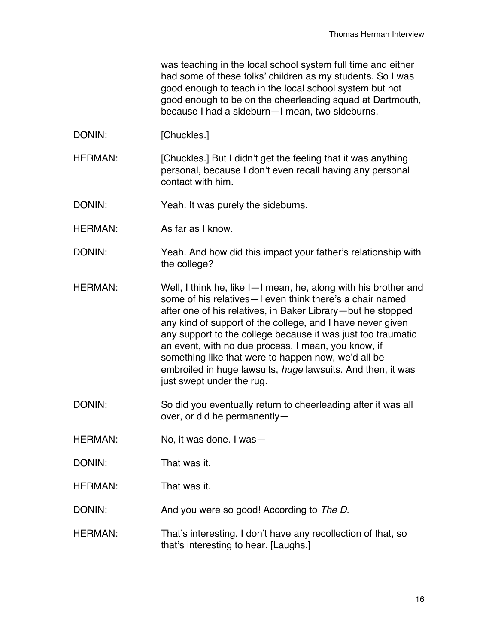was teaching in the local school system full time and either had some of these folks' children as my students. So I was good enough to teach in the local school system but not good enough to be on the cheerleading squad at Dartmouth, because I had a sideburn—I mean, two sideburns.

- DONIN: [Chuckles.]
- HERMAN: [Chuckles.] But I didn't get the feeling that it was anything personal, because I don't even recall having any personal contact with him.
- DONIN: Yeah. It was purely the sideburns.
- HERMAN: As far as I know.
- DONIN: Yeah. And how did this impact your father's relationship with the college?
- HERMAN: Well, I think he, like I—I mean, he, along with his brother and some of his relatives—I even think there's a chair named after one of his relatives, in Baker Library—but he stopped any kind of support of the college, and I have never given any support to the college because it was just too traumatic an event, with no due process. I mean, you know, if something like that were to happen now, we'd all be embroiled in huge lawsuits, *huge* lawsuits. And then, it was just swept under the rug.
- DONIN: So did you eventually return to cheerleading after it was all over, or did he permanently—
- HERMAN: No, it was done. I was-
- DONIN: That was it.
- HERMAN: That was it.
- DONIN: And you were so good! According to *The D*.
- HERMAN: That's interesting. I don't have any recollection of that, so that's interesting to hear. [Laughs.]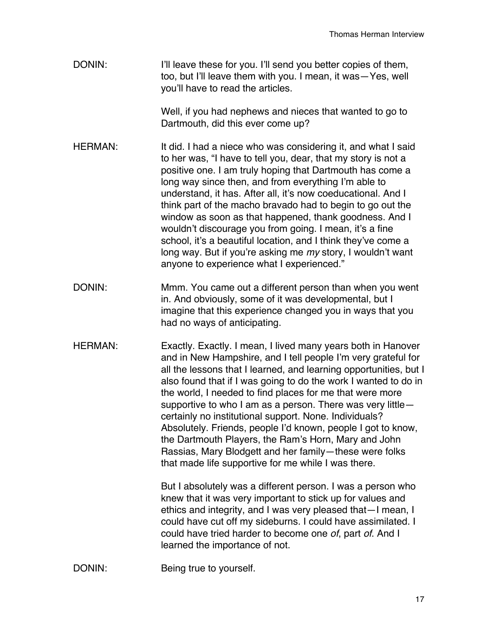DONIN: I'll leave these for you. I'll send you better copies of them, too, but I'll leave them with you. I mean, it was—Yes, well you'll have to read the articles.

> Well, if you had nephews and nieces that wanted to go to Dartmouth, did this ever come up?

- HERMAN: It did. I had a niece who was considering it, and what I said to her was, "I have to tell you, dear, that my story is not a positive one. I am truly hoping that Dartmouth has come a long way since then, and from everything I'm able to understand, it has. After all, it's now coeducational. And I think part of the macho bravado had to begin to go out the window as soon as that happened, thank goodness. And I wouldn't discourage you from going. I mean, it's a fine school, it's a beautiful location, and I think they've come a long way. But if you're asking me *my* story, I wouldn't want anyone to experience what I experienced."
- DONIN: Mmm. You came out a different person than when you went in. And obviously, some of it was developmental, but I imagine that this experience changed you in ways that you had no ways of anticipating.
- HERMAN: Exactly. Exactly. I mean, I lived many years both in Hanover and in New Hampshire, and I tell people I'm very grateful for all the lessons that I learned, and learning opportunities, but I also found that if I was going to do the work I wanted to do in the world, I needed to find places for me that were more supportive to who I am as a person. There was very little certainly no institutional support. None. Individuals? Absolutely. Friends, people I'd known, people I got to know, the Dartmouth Players, the Ram's Horn, Mary and John Rassias, Mary Blodgett and her family—these were folks that made life supportive for me while I was there.

But I absolutely was a different person. I was a person who knew that it was very important to stick up for values and ethics and integrity, and I was very pleased that—I mean, I could have cut off my sideburns. I could have assimilated. I could have tried harder to become one *of*, part *of*. And I learned the importance of not.

DONIN: Being true to yourself.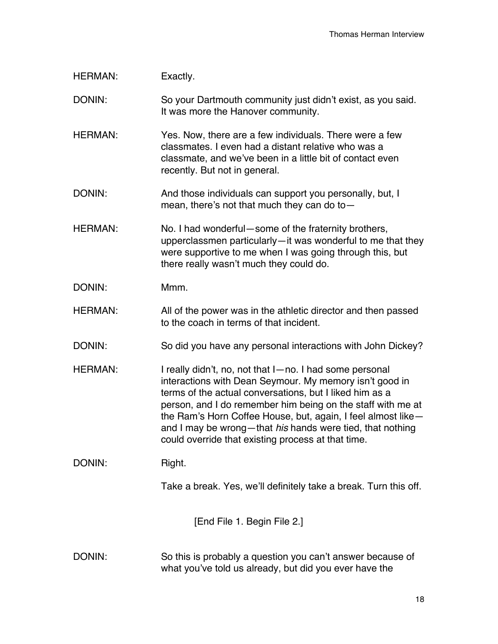| <b>HERMAN:</b>              | Exactly.                                                                                                                                                                                                                                                                                                                                                                                                                        |
|-----------------------------|---------------------------------------------------------------------------------------------------------------------------------------------------------------------------------------------------------------------------------------------------------------------------------------------------------------------------------------------------------------------------------------------------------------------------------|
| DONIN:                      | So your Dartmouth community just didn't exist, as you said.<br>It was more the Hanover community.                                                                                                                                                                                                                                                                                                                               |
| <b>HERMAN:</b>              | Yes. Now, there are a few individuals. There were a few<br>classmates. I even had a distant relative who was a<br>classmate, and we've been in a little bit of contact even<br>recently. But not in general.                                                                                                                                                                                                                    |
| DONIN:                      | And those individuals can support you personally, but, I<br>mean, there's not that much they can do to $-$                                                                                                                                                                                                                                                                                                                      |
| <b>HERMAN:</b>              | No. I had wonderful - some of the fraternity brothers,<br>upperclassmen particularly-it was wonderful to me that they<br>were supportive to me when I was going through this, but<br>there really wasn't much they could do.                                                                                                                                                                                                    |
| DONIN:                      | Mmm.                                                                                                                                                                                                                                                                                                                                                                                                                            |
| <b>HERMAN:</b>              | All of the power was in the athletic director and then passed<br>to the coach in terms of that incident.                                                                                                                                                                                                                                                                                                                        |
| DONIN:                      | So did you have any personal interactions with John Dickey?                                                                                                                                                                                                                                                                                                                                                                     |
| <b>HERMAN:</b>              | I really didn't, no, not that I-no. I had some personal<br>interactions with Dean Seymour. My memory isn't good in<br>terms of the actual conversations, but I liked him as a<br>person, and I do remember him being on the staff with me at<br>the Ram's Horn Coffee House, but, again, I feel almost like-<br>and I may be wrong-that his hands were tied, that nothing<br>could override that existing process at that time. |
| DONIN:                      | Right.                                                                                                                                                                                                                                                                                                                                                                                                                          |
|                             | Take a break. Yes, we'll definitely take a break. Turn this off.                                                                                                                                                                                                                                                                                                                                                                |
| [End File 1. Begin File 2.] |                                                                                                                                                                                                                                                                                                                                                                                                                                 |
| DONIN:                      | So this is probably a question you can't answer because of<br>what you've told us already, but did you ever have the                                                                                                                                                                                                                                                                                                            |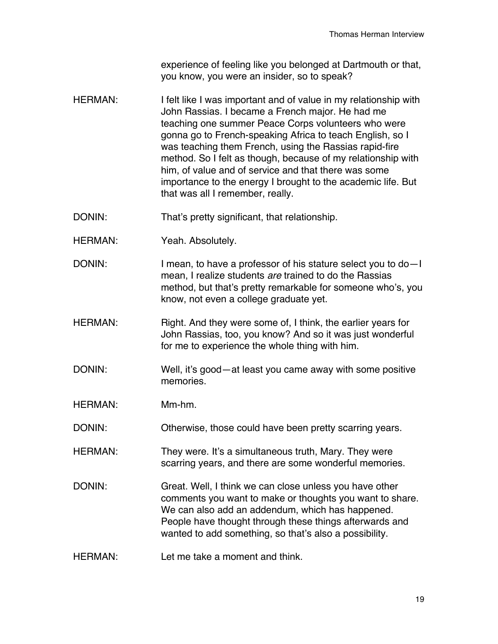experience of feeling like you belonged at Dartmouth or that, you know, you were an insider, so to speak?

- HERMAN: I felt like I was important and of value in my relationship with John Rassias. I became a French major. He had me teaching one summer Peace Corps volunteers who were gonna go to French-speaking Africa to teach English, so I was teaching them French, using the Rassias rapid-fire method. So I felt as though, because of my relationship with him, of value and of service and that there was some importance to the energy I brought to the academic life. But that was all I remember, really.
- DONIN: That's pretty significant, that relationship.
- HERMAN: Yeah. Absolutely.
- DONIN: I mean, to have a professor of his stature select you to do-I mean, I realize students *are* trained to do the Rassias method, but that's pretty remarkable for someone who's, you know, not even a college graduate yet.
- HERMAN: Right. And they were some of, I think, the earlier years for John Rassias, too, you know? And so it was just wonderful for me to experience the whole thing with him.
- DONIN: Well, it's good—at least you came away with some positive memories.
- HERMAN: Mm-hm.
- DONIN: Otherwise, those could have been pretty scarring years.
- HERMAN: They were. It's a simultaneous truth, Mary. They were scarring years, and there are some wonderful memories.
- DONIN: Great. Well, I think we can close unless you have other comments you want to make or thoughts you want to share. We can also add an addendum, which has happened. People have thought through these things afterwards and wanted to add something, so that's also a possibility.
- HERMAN: Let me take a moment and think.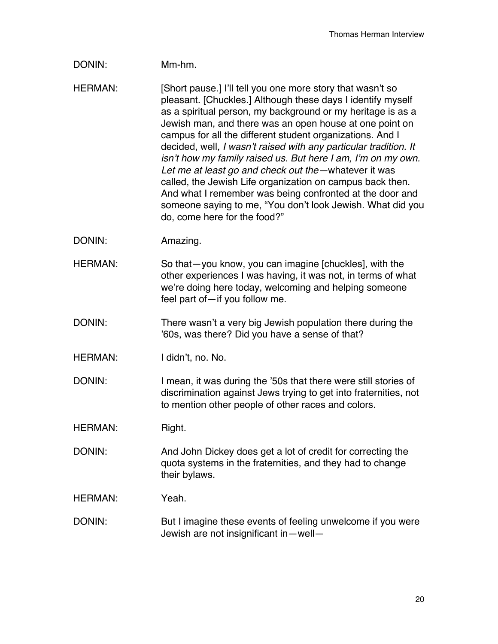## DONIN: Mm-hm.

HERMAN: [Short pause.] I'll tell you one more story that wasn't so pleasant. [Chuckles.] Although these days I identify myself as a spiritual person, my background or my heritage is as a Jewish man, and there was an open house at one point on campus for all the different student organizations. And I decided, well*, I wasn*'*t raised with any particular tradition. It isn*'*t how my family raised us. But here I am, I*'*m on my own. Let me at least go and check out the—*whatever it was called, the Jewish Life organization on campus back then. And what I remember was being confronted at the door and someone saying to me, "You don't look Jewish. What did you do, come here for the food?"

- DONIN: Amazing.
- HERMAN: So that—you know, you can imagine [chuckles], with the other experiences I was having, it was not, in terms of what we're doing here today, welcoming and helping someone feel part of—if you follow me.
- DONIN: There wasn't a very big Jewish population there during the '60s, was there? Did you have a sense of that?
- HERMAN: I didn't, no. No.

DONIN: I mean, it was during the '50s that there were still stories of discrimination against Jews trying to get into fraternities, not to mention other people of other races and colors.

HERMAN: Right.

DONIN: And John Dickey does get a lot of credit for correcting the quota systems in the fraternities, and they had to change their bylaws.

HERMAN: Yeah.

DONIN: But I imagine these events of feeling unwelcome if you were Jewish are not insignificant in—well—